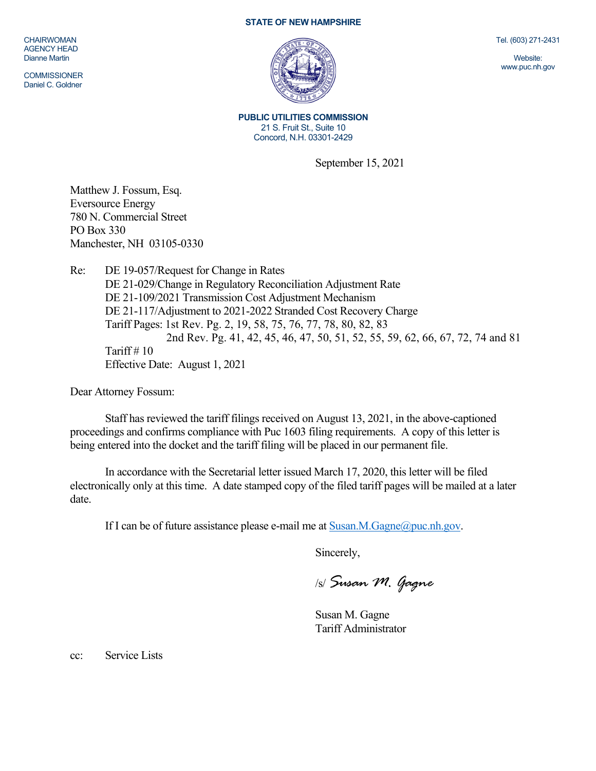## **STATE OF NEW HAMPSHIRE**

CHAIRWOMAN AGENCY HEAD Dianne Martin

**COMMISSIONER** Daniel C. Goldner



**PUBLIC UTILITIES COMMISSION**  21 S. Fruit St., Suite 10 Concord, N.H. 03301-2429

September 15, 2021

Matthew J. Fossum, Esq. Eversource Energy 780 N. Commercial Street PO Box 330 Manchester, NH 03105-0330

Re: DE 19-057/Request for Change in Rates DE 21-029/Change in Regulatory Reconciliation Adjustment Rate DE 21-109/2021 Transmission Cost Adjustment Mechanism DE 21-117/Adjustment to 2021-2022 Stranded Cost Recovery Charge Tariff Pages: 1st Rev. Pg. 2, 19, 58, 75, 76, 77, 78, 80, 82, 83 2nd Rev. Pg. 41, 42, 45, 46, 47, 50, 51, 52, 55, 59, 62, 66, 67, 72, 74 and 81 Tariff  $# 10$ Effective Date: August 1, 2021

Dear Attorney Fossum:

Staff has reviewed the tariff filings received on August 13, 2021, in the above-captioned proceedings and confirms compliance with Puc 1603 filing requirements. A copy of this letter is being entered into the docket and the tariff filing will be placed in our permanent file.

In accordance with the Secretarial letter issued March 17, 2020, this letter will be filed electronically only at this time. A date stamped copy of the filed tariff pages will be mailed at a later date.

If I can be of future assistance please e-mail me at  $S$ usan.M. $G$ agne $@p$ uc.nh.gov.

Sincerely,

/s/ *Susan M. Gagne*

Susan M. Gagne Tariff Administrator

cc: Service Lists

Tel. (603) 271-2431

Website: www.puc.nh.gov